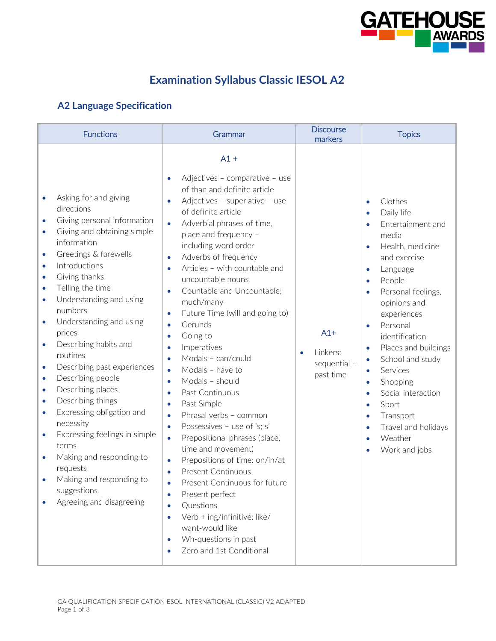

## **Examination Syllabus Classic IESOL A2**

## **A2 Language Specification**

| <b>Functions</b>                                                                                                                                                                                                                                                                                                                                                                                                                                                                                                                                                                                                                                                                                                                                                                                      | Grammar                                                                                                                                                                                                                                                                                                                                                                                                                                                                                                                                                                                                                                                                                                                                                                                                                                                                                                                                                                                                                                                                                                                                                                                          | <b>Discourse</b><br>markers                                 | <b>Topics</b>                                                                                                                                                                                                                                                                                                                                                                                                                                                                                                                                             |
|-------------------------------------------------------------------------------------------------------------------------------------------------------------------------------------------------------------------------------------------------------------------------------------------------------------------------------------------------------------------------------------------------------------------------------------------------------------------------------------------------------------------------------------------------------------------------------------------------------------------------------------------------------------------------------------------------------------------------------------------------------------------------------------------------------|--------------------------------------------------------------------------------------------------------------------------------------------------------------------------------------------------------------------------------------------------------------------------------------------------------------------------------------------------------------------------------------------------------------------------------------------------------------------------------------------------------------------------------------------------------------------------------------------------------------------------------------------------------------------------------------------------------------------------------------------------------------------------------------------------------------------------------------------------------------------------------------------------------------------------------------------------------------------------------------------------------------------------------------------------------------------------------------------------------------------------------------------------------------------------------------------------|-------------------------------------------------------------|-----------------------------------------------------------------------------------------------------------------------------------------------------------------------------------------------------------------------------------------------------------------------------------------------------------------------------------------------------------------------------------------------------------------------------------------------------------------------------------------------------------------------------------------------------------|
| Asking for and giving<br>$\bullet$<br>directions<br>Giving personal information<br>$\bullet$<br>Giving and obtaining simple<br>$\bullet$<br>information<br>Greetings & farewells<br>۰<br>Introductions<br>$\bullet$<br>Giving thanks<br>$\bullet$<br>Telling the time<br>۰<br>Understanding and using<br>$\bullet$<br>numbers<br>Understanding and using<br>۰<br>prices<br>Describing habits and<br>$\bullet$<br>routines<br>Describing past experiences<br>۰<br>Describing people<br>$\bullet$<br>Describing places<br>$\bullet$<br>Describing things<br>۰<br>Expressing obligation and<br>$\bullet$<br>necessity<br>Expressing feelings in simple<br>$\bullet$<br>terms<br>Making and responding to<br>$\bullet$<br>requests<br>Making and responding to<br>suggestions<br>Agreeing and disagreeing | $A1 +$<br>Adjectives - comparative - use<br>$\bullet$<br>of than and definite article<br>Adjectives - superlative - use<br>$\bullet$<br>of definite article<br>Adverbial phrases of time,<br>$\bullet$<br>place and frequency -<br>including word order<br>Adverbs of frequency<br>$\bullet$<br>Articles - with countable and<br>$\bullet$<br>uncountable nouns<br>Countable and Uncountable;<br>$\bullet$<br>much/many<br>Future Time (will and going to)<br>$\bullet$<br>Gerunds<br>$\bullet$<br>Going to<br>$\bullet$<br>Imperatives<br>$\bullet$<br>Modals - can/could<br>$\bullet$<br>Modals - have to<br>$\bullet$<br>Modals - should<br>$\bullet$<br>Past Continuous<br>$\bullet$<br>Past Simple<br>$\bullet$<br>Phrasal verbs - common<br>$\bullet$<br>Possessives - use of 's; s'<br>$\bullet$<br>Prepositional phrases (place,<br>$\bullet$<br>time and movement)<br>Prepositions of time: on/in/at<br>$\bullet$<br><b>Present Continuous</b><br>$\bullet$<br>Present Continuous for future<br>Present perfect<br>$\bullet$<br>Questions<br>$\bullet$<br>Verb + ing/infinitive: like/<br>$\bullet$<br>want-would like<br>Wh-questions in past<br>$\bullet$<br>Zero and 1st Conditional | $A1+$<br>Linkers:<br>$\bullet$<br>sequential -<br>past time | Clothes<br>$\bullet$<br>Daily life<br>Entertainment and<br>$\bullet$<br>media<br>Health, medicine<br>and exercise<br>Language<br>$\bullet$<br>People<br>Personal feelings,<br>$\bullet$<br>opinions and<br>experiences<br>Personal<br>$\bullet$<br>identification<br>Places and buildings<br>$\bullet$<br>School and study<br>$\bullet$<br>Services<br>Shopping<br>$\bullet$<br>Social interaction<br>$\bullet$<br>Sport<br>$\bullet$<br>Transport<br>$\bullet$<br>Travel and holidays<br>$\bullet$<br>Weather<br>$\bullet$<br>Work and jobs<br>$\bullet$ |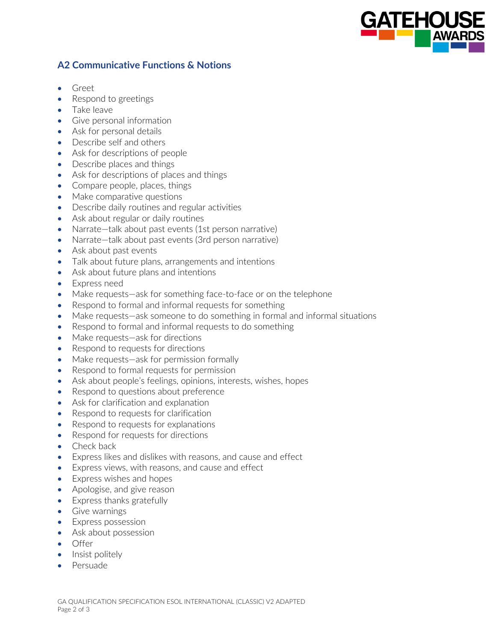

## **A2 Communicative Functions & Notions**

- Greet
- Respond to greetings
- Take leave
- Give personal information
- Ask for personal details
- Describe self and others
- Ask for descriptions of people
- Describe places and things
- Ask for descriptions of places and things
- Compare people, places, things
- Make comparative questions
- Describe daily routines and regular activities
- Ask about regular or daily routines
- Narrate–talk about past events (1st person narrative)
- Narrate-talk about past events (3rd person narrative)
- Ask about past events
- Talk about future plans, arrangements and intentions
- Ask about future plans and intentions
- Express need
- Make requests—ask for something face-to-face or on the telephone
- Respond to formal and informal requests for something
- Make requests—ask someone to do something in formal and informal situations
- Respond to formal and informal requests to do something
- Make requests—ask for directions
- Respond to requests for directions
- Make requests—ask for permission formally
- Respond to formal requests for permission
- Ask about people's feelings, opinions, interests, wishes, hopes
- Respond to questions about preference
- Ask for clarification and explanation
- Respond to requests for clarification
- Respond to requests for explanations
- Respond for requests for directions
- Check back
- Express likes and dislikes with reasons, and cause and effect
- Express views, with reasons, and cause and effect
- Express wishes and hopes
- Apologise, and give reason
- Express thanks gratefully
- Give warnings
- Express possession
- Ask about possession
- Offer
- Insist politely
- Persuade